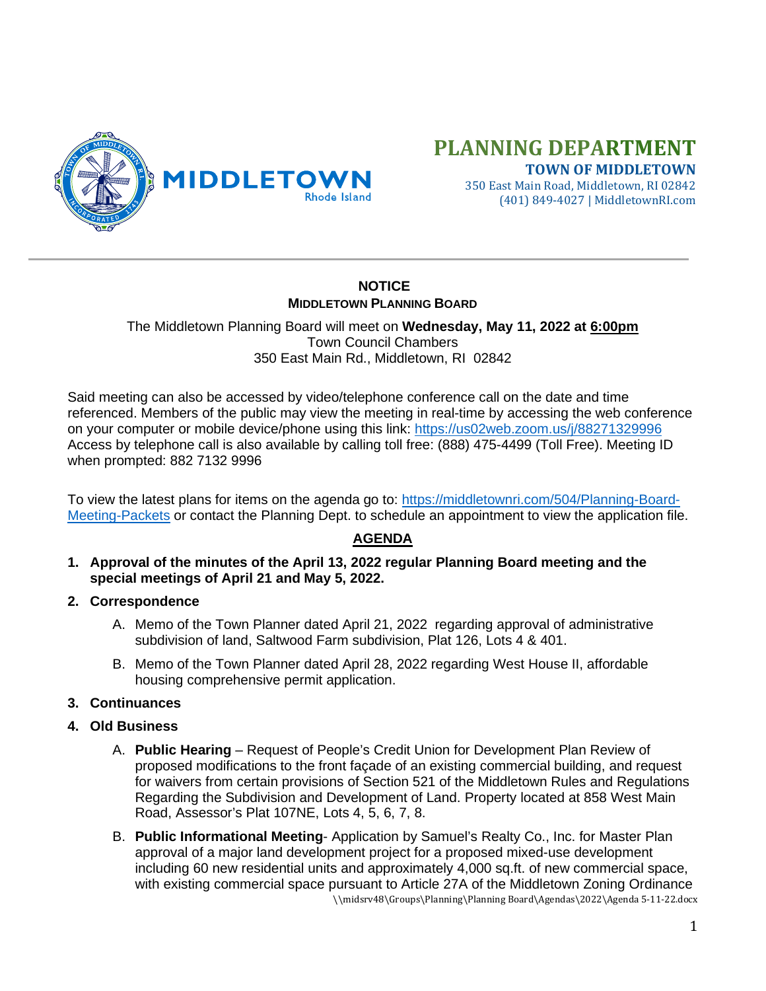

# **PLANNING DEPARTMENT**

**TOWN OF MIDDLETOWN** 350 East Main Road, Middletown, RI 02842 (401) 849-4027 | MiddletownRI.com

## **NOTICE MIDDLETOWN PLANNING BOARD**

The Middletown Planning Board will meet on **Wednesday, May 11, 2022 at 6:00pm** Town Council Chambers 350 East Main Rd., Middletown, RI 02842

Said meeting can also be accessed by video/telephone conference call on the date and time referenced. Members of the public may view the meeting in real-time by accessing the web conference on your computer or mobile device/phone using this link: <https://us02web.zoom.us/j/88271329996> Access by telephone call is also available by calling toll free: (888) 475-4499 (Toll Free). Meeting ID when prompted: 882 7132 9996

To view the latest plans for items on the agenda go to: [https://middletownri.com/504/Planning-Board-](https://middletownri.com/504/Planning-Board-Meeting-Packets)[Meeting-Packets](https://middletownri.com/504/Planning-Board-Meeting-Packets) or contact the Planning Dept. to schedule an appointment to view the application file.

### **AGENDA**

- **1. Approval of the minutes of the April 13, 2022 regular Planning Board meeting and the special meetings of April 21 and May 5, 2022.**
- **2. Correspondence**
	- A. Memo of the Town Planner dated April 21, 2022 regarding approval of administrative subdivision of land, Saltwood Farm subdivision, Plat 126, Lots 4 & 401.
	- B. Memo of the Town Planner dated April 28, 2022 regarding West House II, affordable housing comprehensive permit application.
- **3. Continuances**
- **4. Old Business**
	- A. **Public Hearing** Request of People's Credit Union for Development Plan Review of proposed modifications to the front façade of an existing commercial building, and request for waivers from certain provisions of Section 521 of the Middletown Rules and Regulations Regarding the Subdivision and Development of Land. Property located at 858 West Main Road, Assessor's Plat 107NE, Lots 4, 5, 6, 7, 8.
	- \\midsrv48\Groups\Planning\Planning Board\Agendas\2022\Agenda 5-11-22.docx B. **Public Informational Meeting**- Application by Samuel's Realty Co., Inc. for Master Plan approval of a major land development project for a proposed mixed-use development including 60 new residential units and approximately 4,000 sq.ft. of new commercial space, with existing commercial space pursuant to Article 27A of the Middletown Zoning Ordinance